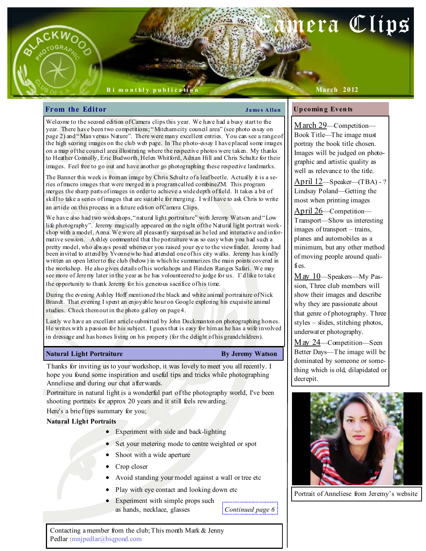# era Clips

### B i m o n t hl y p u b l i c a ti o n

### March 2012

### From the Editor Theorem 2008 Shapes Allan

### Up comin g Even ts

Welcome to the second edition of Camera clips this year. We have had a busy start to the year. There have been two competitions; "Mitcham city council area" (see photo essay on page 2) and "Man versus Nature". There were many excellent entries. You can see a range of the high scoring images on the club web page. In The photo-essay I have placed some images on a map of the council area illustrating where the respective photos were taken. My thanks to Heather Connolly, Eric Budworth, Helen Whitford, Adrian Hill and Chris Schultz for their images. Feel free to go out and have another go photographing these respective landmarks.

The Banner this week is from an image by Chris Schultz of a leaf beetle. Actually it is a series of macro images that were merged in a program called combineZM. This program merges the sharp parts of images in order to achieve a wide depth of field. It takes a bit of skill to take a series of images that are suitable for merging. I will have to ask Chris to write an article on this process in a future edition of Camera Clips.

We have also had two workshops, "natural light portraiture" with Jeremy Watson and "Low life photography". Jeremy magically appeared on the night of the Natural light portrait workshop with a model, Anna. We were all pleasantly surprised as he led and interactive and informative session. Ashley commented that the portraiture was so easy when you had such a pretty model, who always posed whenever you raised your eye to the viewfinder. Jeremy had been invited to attend by Yvonne who had attended one of his city walks. Jeremy has kindly written an open letter to the club (below) in which he summarizes the main points covered in the workshop. He also gives details of his workshops and Flinders Ranges Safari. We may see more of Jeremy later in the year as he has volounteered to judge for us. I'd like to take the opportunity to thank Jeremy for his generous sacrifice of his time.

During the evening Ashley Hoff mentioned the black and white animal portraiture of Nick Brandt. That evening I spent an enjoyable hour on Google exploring his exquisite animal studies. Check them out in the photo gallery on page 4.

Lastly we have an excellent article submitted by John Duckmanton on photographing horses. He writes with a passion for his subject. I guess that is easy for him as he has a wife involved in dressage and has horses living on his property (for the delight of his grandchildren).

### Natural Light Portraiture **By Jeremy Watson**

Thanks for inviting us to your workshop, it was lovely to meet you all recently. I hope you found some inspiration and useful tips and tricks while photographing Anneliese and during our chat afterwards.

Portraiture in natural light is a wonderful part of the photography world, I've been shooting portraits for approx 20 years and it still feels rewarding.

Here's a brief tips summary for you;

### Natural Light Portraits

- Experiment with side and back-lighting
- Set your metering mode to centre weighted or spot
- Shoot with a wide aperture
- Crop closer
- Avoid standing your model against a wall or tree etc
- Play with eye contact and looking down etc
- Experiment with simple props such as hands, necklace, glasses

 $\frac{1}{2}$ Continued page 6 $\frac{1}{2}$ 

Contacting a member from the club; This month Mark & Jenny Pedlar :mnjpedlar@biqpond.com

March 29-Competition-Book Title—The image must portray the book title chosen. Images will be judged on photographic and artistic quality as

well as relevance to the title.

April 12—Speaker—(TBA) - ? Lindsay Poland—Getting the most when printing images

April 26—Competition— Transport—Show us interesting images of transport – trains, planes and automobiles as a minimum, but any other method of moving people around qualifies.

May 10—Speakers—My Passion, Three club members will show their images and describe why they are passionate about that genre of photography. Three styles – slides, stitching photos, underwater photography.

May 24—Competition—Seen Better Days—The image will be dominated by someone or something which is old, dilapidated or decrepit.



Portrait of Anneliese from Jeremy's website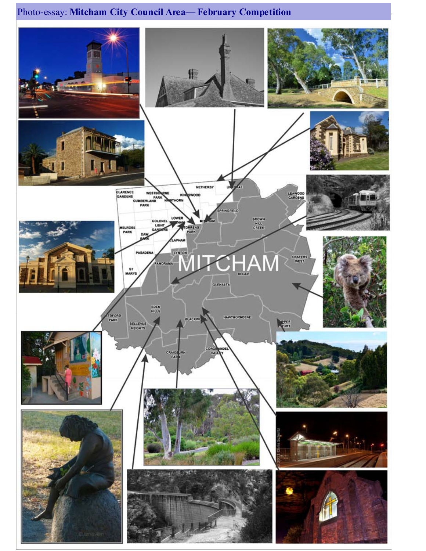## Photo-essay: Mitcham City Council Area— February Competition

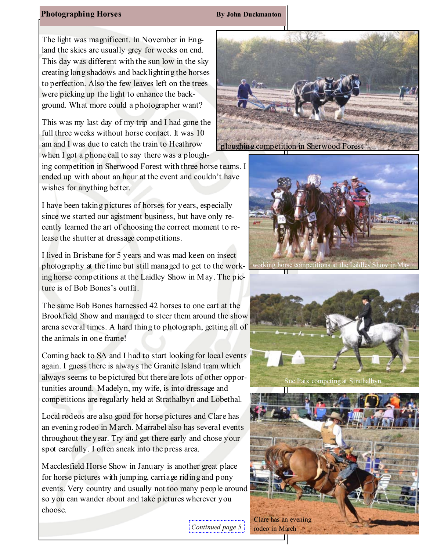### Photographing Horses By John Duckmanton

The light was magnificent. In November in England the skies are usually grey for weeks on end. This day was different with the sun low in the sky creating long shadows and backlighting the horses to perfection. Also the few leaves left on the trees were picking up the light to enhance the background. What more could a photographer want?

This was my last day of my trip and I had gone the full three weeks without horse contact. It was 10 am and I was due to catch the train to Heathrow when I got a phone call to say there was a plough-

ing competition in Sherwood Forest with three horse teams. I ended up with about an hour at the event and couldn't have wishes for anything better.

I have been taking pictures of horses for years, especially since we started our agistment business, but have only recently learned the art of choosing the correct moment to release the shutter at dressage competitions.

I lived in Brisbane for 5 years and was mad keen on insect photography at the time but still managed to get to the working horse competitions at the Laidley Show in May. The picture is of Bob Bones's outfit.

The same Bob Bones harnessed 42 horses to one cart at the Brookfield Show and managed to steer them around the show arena several times. A hard thing to photograph, getting all of the animals in one frame!

Coming back to SA and I had to start looking for local events again. I guess there is always the Granite Island tram which always seems to be pictured but there are lots of other opportunities around. Madelyn, my wife, is into dressage and competitions are regularly held at Strathalbyn and Lobethal.

Local rodeos are also good for horse pictures and Clare has an evening rodeo in March. Marrabel also has several events throughout the year. Try and get there early and chose your spot carefully. I often sneak into the press area.

Macclesfield Horse Show in January is another great place for horse pictures with jumping, carriage riding and pony events. Very country and usually not too many people around so you can wander about and take pictures wherever you choose.









Continued page 5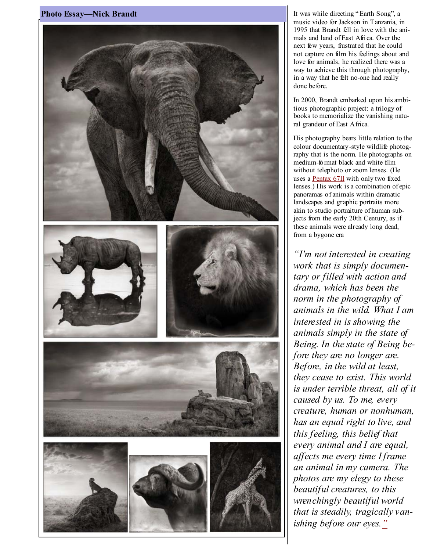

It was while directing " Earth Song", a music video for Jackson in Tanzania, in 1995 that Brandt fell in love with the animals and land of East Africa. Over the next few years, frustrated that he could not capture on film his feelings about and love for animals, he realized there was a way to achieve this through photography, in a way that he felt no-one had really done before.

In 2000, Brandt embarked upon his ambitious photographic project: a trilogy of books to memorialize the vanishing natural grandeur of East Africa.

His photography bears little relation to the colour documentary-style wildlife photography that is the norm. He photographs on medium-format black and white film without telephoto or zoom lenses. (He uses a Pentax 67II with only two fixed lenses.) His work is a combination of epic panoramas of animals within dramatic landscapes and graphic portraits more akin to studio portraiture of human subjects from the early 20th Century, as if these animals were already long dead, from a bygone era

"I'm not interested in creating work that is simply documentary or filled with action and drama, which has been the norm in the photography of animals in the wild. What I am interested in is showing the animals simply in the state of Being. In the state of Being before they are no longer are. Before, in the wild at least, they cease to exist. This world is under terrible threat, all of it caused by us. To me, every creature, human or nonhuman, has an equal right to live, and this feeling, this belief that every animal and I are equal, affects me every time I frame an animal in my camera. The photos are my elegy to these beautiful creatures, to this wrenchingly beautiful world that is steadily, tragically vanishing before our eyes."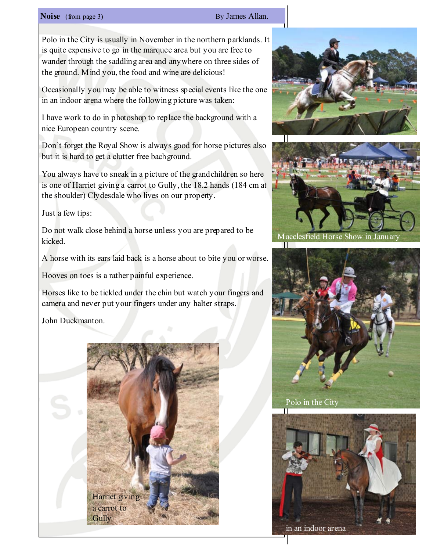### Noise (from page 3) By James Allan.

Polo in the City is usually in November in the northern parklands. It is quite expensive to go in the marquee area but you are free to wander through the saddling area and anywhere on three sides of the ground. Mind you, the food and wine are delicious!

Occasionally you may be able to witness special events like the one in an indoor arena where the following picture was taken:

I have work to do in photoshop to replace the background with a nice European country scene.

Don't forget the Royal Show is always good for horse pictures also but it is hard to get a clutter free bachground.

You always have to sneak in a picture of the grandchildren so here is one of Harriet giving a carrot to Gully, the 18.2 hands (184 cm at the shoulder) Clydesdale who lives on our property.

Just a few tips:

Do not walk close behind a horse unless you are prepared to be kicked.

A horse with its ears laid back is a horse about to bite you or worse.

Hooves on toes is a rather painful experience.

Horses like to be tickled under the chin but watch your fingers and camera and never put your fingers under any halter straps.

John Duckmanton.







Macclesfield Horse Show in January



Polo in the City